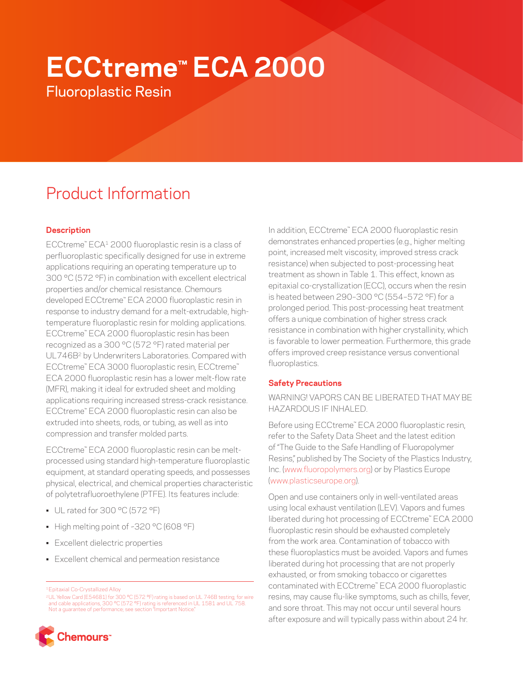# **ECCtreme™ ECA 2000**

Fluoroplastic Resin

# Product Information

# **Description**

ECCtreme™ ECA1 2000 fluoroplastic resin is a class of perfluoroplastic specifically designed for use in extreme applications requiring an operating temperature up to 300 °C (572 °F) in combination with excellent electrical properties and/or chemical resistance. Chemours developed ECCtreme™ ECA 2000 fluoroplastic resin in response to industry demand for a melt-extrudable, hightemperature fluoroplastic resin for molding applications. ECCtreme™ ECA 2000 fluoroplastic resin has been recognized as a 300 °C (572 °F) rated material per UL746B<sup>2</sup> by Underwriters Laboratories. Compared with ECCtreme™ ECA 3000 fluoroplastic resin, ECCtreme™ ECA 2000 fluoroplastic resin has a lower melt-flow rate (MFR), making it ideal for extruded sheet and molding applications requiring increased stress-crack resistance. ECCtreme™ ECA 2000 fluoroplastic resin can also be extruded into sheets, rods, or tubing, as well as into compression and transfer molded parts.

ECCtreme™ ECA 2000 fluoroplastic resin can be meltprocessed using standard high-temperature fluoroplastic equipment, at standard operating speeds, and possesses physical, electrical, and chemical properties characteristic of polytetrafluoroethylene (PTFE). Its features include:

- UL rated for 300 °C (572 °F)
- High melting point of ~320 °C (608 °F)
- Excellent dielectric properties
- Excellent chemical and permeation resistance

<sup>2</sup>UL Yellow Card (E54681) for 300 °C (572 °F) rating is based on UL 746B testing; for wire<br>and cable applications, 300 °C (572 °F) rating is referenced in UL 1581 and UL 758.<br>Not a quarantee of performance; see section "I



In addition, ECCtreme™ ECA 2000 fluoroplastic resin demonstrates enhanced properties (e.g., higher melting point, increased melt viscosity, improved stress crack resistance) when subjected to post-processing heat treatment as shown in Table 1. This effect, known as epitaxial co-crystallization (ECC), occurs when the resin is heated between 290–300 °C (554–572 °F) for a prolonged period. This post-processing heat treatment offers a unique combination of higher stress crack resistance in combination with higher crystallinity, which is favorable to lower permeation. Furthermore, this grade offers improved creep resistance versus conventional fluoroplastics.

# **Safety Precautions**

WARNING! VAPORS CAN BE LIBERATED THAT MAY BE HAZARDOUS IF INHALED.

Before using ECCtreme™ ECA 2000 fluoroplastic resin, refer to the Safety Data Sheet and the latest edition of "The Guide to the Safe Handling of Fluoropolymer Resins," published by The Society of the Plastics Industry, Inc. [\(www.fluoropolymers.org](http://www.fluoropolymers.org)) or by Plastics Europe [\(www.plasticseurope.org\)](http://www.plasticseurope.org).

Open and use containers only in well-ventilated areas using local exhaust ventilation (LEV). Vapors and fumes liberated during hot processing of ECCtreme™ ECA 2000 fluoroplastic resin should be exhausted completely from the work area. Contamination of tobacco with these fluoroplastics must be avoided. Vapors and fumes liberated during hot processing that are not properly exhausted, or from smoking tobacco or cigarettes contaminated with ECCtreme™ ECA 2000 fluoroplastic resins, may cause flu-like symptoms, such as chills, fever, and sore throat. This may not occur until several hours after exposure and will typically pass within about 24 hr.

<sup>1</sup>Epitaxial Co-Crystallized Alloy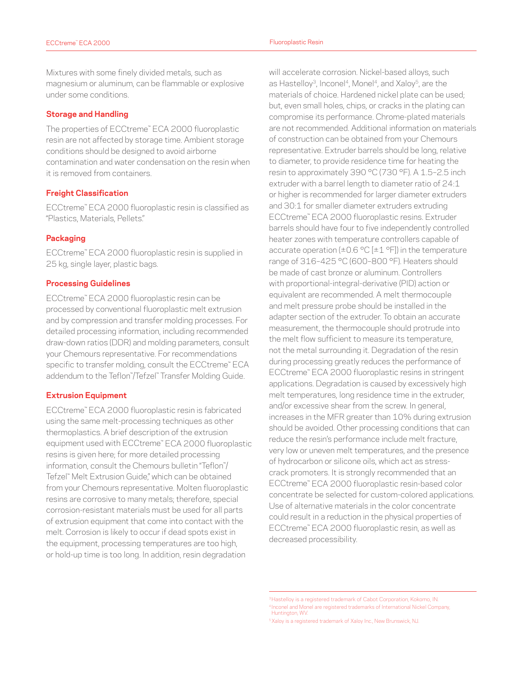Mixtures with some finely divided metals, such as magnesium or aluminum, can be flammable or explosive under some conditions.

#### **Storage and Handling**

The properties of ECCtreme™ ECA 2000 fluoroplastic resin are not affected by storage time. Ambient storage conditions should be designed to avoid airborne contamination and water condensation on the resin when it is removed from containers.

# **Freight Classification**

ECCtreme™ ECA 2000 fluoroplastic resin is classified as "Plastics, Materials, Pellets."

#### **Packaging**

ECCtreme™ ECA 2000 fluoroplastic resin is supplied in 25 kg, single layer, plastic bags.

#### **Processing Guidelines**

ECCtreme™ ECA 2000 fluoroplastic resin can be processed by conventional fluoroplastic melt extrusion and by compression and transfer molding processes. For detailed processing information, including recommended draw-down ratios (DDR) and molding parameters, consult your Chemours representative. For recommendations specific to transfer molding, consult the ECCtreme™ ECA addendum to the Teflon™ /Tefzel™ Transfer Molding Guide.

#### **Extrusion Equipment**

ECCtreme™ ECA 2000 fluoroplastic resin is fabricated using the same melt-processing techniques as other thermoplastics. A brief description of the extrusion equipment used with ECCtreme™ ECA 2000 fluoroplastic resins is given here; for more detailed processing information, consult the Chemours bulletin "Teflon™ / Tefzel™ Melt Extrusion Guide," which can be obtained from your Chemours representative. Molten fluoroplastic resins are corrosive to many metals; therefore, special corrosion-resistant materials must be used for all parts of extrusion equipment that come into contact with the melt. Corrosion is likely to occur if dead spots exist in the equipment, processing temperatures are too high, or hold-up time is too long. In addition, resin degradation

will accelerate corrosion. Nickel-based alloys, such as Hastelloy<sup>3</sup>, Inconel<sup>4</sup>, Monel<sup>4</sup>, and Xaloy<sup>5</sup>, are the materials of choice. Hardened nickel plate can be used; but, even small holes, chips, or cracks in the plating can compromise its performance. Chrome-plated materials are not recommended. Additional information on materials of construction can be obtained from your Chemours representative. Extruder barrels should be long, relative to diameter, to provide residence time for heating the resin to approximately 390 °C (730 °F). A 1.5–2.5 inch extruder with a barrel length to diameter ratio of 24:1 or higher is recommended for larger diameter extruders and 30:1 for smaller diameter extruders extruding ECCtreme™ ECA 2000 fluoroplastic resins. Extruder barrels should have four to five independently controlled heater zones with temperature controllers capable of accurate operation ( $\pm 0.6$  °C [ $\pm 1$  °F]) in the temperature range of 316–425 °C (600–800 °F). Heaters should be made of cast bronze or aluminum. Controllers with proportional-integral-derivative (PID) action or equivalent are recommended. A melt thermocouple and melt pressure probe should be installed in the adapter section of the extruder. To obtain an accurate measurement, the thermocouple should protrude into the melt flow sufficient to measure its temperature, not the metal surrounding it. Degradation of the resin during processing greatly reduces the performance of ECCtreme™ ECA 2000 fluoroplastic resins in stringent applications. Degradation is caused by excessively high melt temperatures, long residence time in the extruder, and/or excessive shear from the screw. In general, increases in the MFR greater than 10% during extrusion should be avoided. Other processing conditions that can reduce the resin's performance include melt fracture, very low or uneven melt temperatures, and the presence of hydrocarbon or silicone oils, which act as stresscrack promoters. It is strongly recommended that an ECCtreme™ ECA 2000 fluoroplastic resin-based color concentrate be selected for custom-colored applications. Use of alternative materials in the color concentrate could result in a reduction in the physical properties of ECCtreme™ ECA 2000 fluoroplastic resin, as well as decreased processibility.

<sup>&</sup>lt;sup>3</sup>Hastelloy is a registered trademark of Cabot Corporation, Kokomo, IN. <sup>4</sup> Inconel and Monel are registered trademarks of International Nickel Company, Huntington, WV.

<sup>&</sup>lt;sup>5</sup>Xaloy is a registered trademark of Xaloy Inc., New Brunswick, NJ.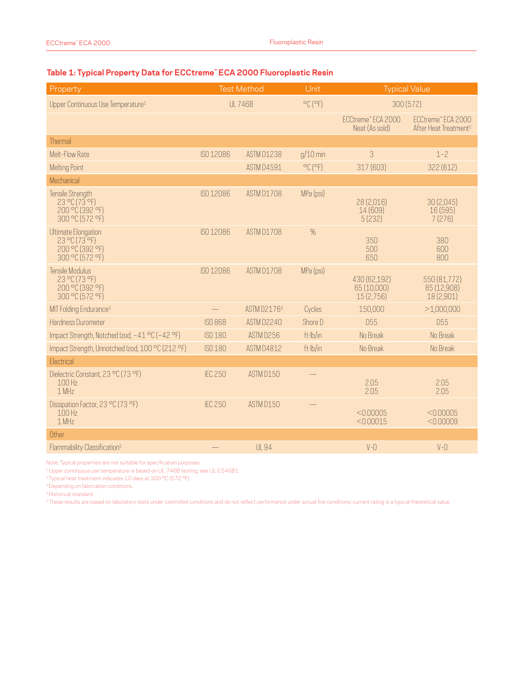### **Table 1: Typical Property Data for ECCtreme™ ECA 2000 Fluoroplastic Resin**

| Property                                                                          | <b>Test Method</b> |                   | Unit                         | <b>Typical Value</b>                     |                                                         |
|-----------------------------------------------------------------------------------|--------------------|-------------------|------------------------------|------------------------------------------|---------------------------------------------------------|
| Upper Continuous Use Temperature <sup>1</sup>                                     | <b>UL 746B</b>     |                   | $^{\circ}$ C ( $^{\circ}$ F) | 300(572)                                 |                                                         |
|                                                                                   |                    |                   |                              | ECCtreme" ECA 2000<br>Neat (As sold)     | ECCtreme" ECA 2000<br>After Heat Treatment <sup>2</sup> |
| Thermal                                                                           |                    |                   |                              |                                          |                                                         |
| Melt-Flow Rate                                                                    | ISO 12086          | <b>ASTM D1238</b> | $g/10$ min                   | 3                                        | $1 - 2$                                                 |
| <b>Melting Point</b>                                                              |                    | ASTM D4591        | $^{\circ}$ C ( $^{\circ}$ F) | 317 (603)                                | 322 (612)                                               |
| Mechanical                                                                        |                    |                   |                              |                                          |                                                         |
| <b>Tensile Strength</b><br>$23$ °C (73 °F)<br>200 °C (392 °F)<br>300 °C (572 °F)  | ISO 12086          | ASTM D1708        | MPa (psi)                    | 28 (2,016)<br>14 (609)<br>5(232)         | 30 (2,045)<br>16 (595)<br>7(276)                        |
| <b>Ultimate Elongation</b><br>23 °C (73 °F)<br>200 °C (392 °F)<br>300 °C (572 °F) | ISO 12086          | <b>ASTM D1708</b> | $\%$                         | 350<br>500<br>650                        | 380<br>600<br>800                                       |
| Tensile Modulus<br>23 °C (73 °F)<br>200 °C (392 °F)<br>300 °C (572 °F)            | ISO 12086          | ASTM D1708        | MPa (psi)                    | 430 (62,192)<br>65 (10,000)<br>15(2,756) | 550 (81,772)<br>85 (12,908)<br>18 (2,901)               |
| MIT Folding Endurance <sup>3</sup>                                                |                    | ASTM D21764       | Cycles                       | 150,000                                  | >1,000,000                                              |
| Hardness Durometer                                                                | <b>ISO 868</b>     | ASTM D2240        | Shore D                      | <b>D55</b>                               | D <sub>55</sub>                                         |
| Impact Strength, Notched Izod, -41 °C (-42 °F)                                    | ISO 180            | ASTM D256         | ft·lb/in                     | No Break                                 | No Break                                                |
| Impact Strength, Unnotched Izod, 100 °C (212 °F)                                  | ISO 180            | <b>ASTM D4812</b> | ft·lb/in                     | No Break                                 | No Break                                                |
| Electrical                                                                        |                    |                   |                              |                                          |                                                         |
| Dielectric Constant, 23 °C (73 °F)<br>100 Hz<br>1 MHz                             | <b>IEC 250</b>     | ASTM D150         |                              | 2.05<br>2.05                             | 2.05<br>2.05                                            |
| Dissipation Factor, 23 °C (73 °F)<br>100H <sub>z</sub><br>1 MHz                   | <b>IEC 250</b>     | ASTM D150         |                              | < 0.00005<br>< 0.00015                   | < 0.00005<br>< 0.00009                                  |
| Other                                                                             |                    |                   |                              |                                          |                                                         |
| Flammability Classification <sup>5</sup>                                          |                    | <b>UL 94</b>      |                              | $V - O$                                  | $V - O$                                                 |

Note: Typical properties are not suitable for specification purposes.

1Upper continuous use temperature is based on UL 746B testing; see UL E54681.

<sup>2</sup> Typical heat treatment indicates 10 days at 300 °C (572 °F).

<sup>3</sup>Depending on fabrication conditions.

4Historical standard.

<sup>5</sup> These results are based on laboratory tests under controlled conditions and do not reflect performance under actual fire conditions; current rating is a typical theoretical value.